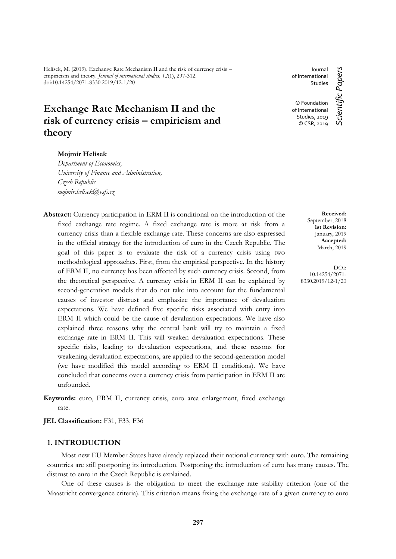Helísek, M. (2019). Exchange Rate Mechanism II and the risk of currency crisis – empiricism and theory. *Journal of international studies, 12*(1), 297-312. doi:10.14254/2071-8330.2019/12-1/20

# **Exchange Rate Mechanism II and the risk of currency crisis – empiricism and theory**

## **Mojmír Helísek**

*Department of Economics, University of Finance and Administration, Czech Republic mojmir.helisek@vsfs.cz*

**Abstract:** Currency participation in ERM II is conditional on the introduction of the fixed exchange rate regime. A fixed exchange rate is more at risk from a currency crisis than a flexible exchange rate. These concerns are also expressed in the official strategy for the introduction of euro in the Czech Republic. The goal of this paper is to evaluate the risk of a currency crisis using two methodological approaches. First, from the empirical perspective. In the history of ERM II, no currency has been affected by such currency crisis. Second, from the theoretical perspective. A currency crisis in ERM II can be explained by second-generation models that do not take into account for the fundamental causes of investor distrust and emphasize the importance of devaluation expectations. We have defined five specific risks associated with entry into ERM II which could be the cause of devaluation expectations. We have also explained three reasons why the central bank will try to maintain a fixed exchange rate in ERM II. This will weaken devaluation expectations. These specific risks, leading to devaluation expectations, and these reasons for weakening devaluation expectations, are applied to the second-generation model (we have modified this model according to ERM II conditions). We have concluded that concerns over a currency crisis from participation in ERM II are unfounded.

**Keywords:** euro, ERM II, currency crisis, euro area enlargement, fixed exchange rate.

**JEL Classification:** F31, F33, F36

# **1. INTRODUCTION**

Most new EU Member States have already replaced their national currency with euro. The remaining countries are still postponing its introduction. Postponing the introduction of euro has many causes. The distrust to euro in the Czech Republic is explained.

One of these causes is the obligation to meet the exchange rate stability criterion (one of the Maastricht convergence criteria). This criterion means fixing the exchange rate of a given currency to euro

Journal Scientific Papers *Scientific Papers* of International Studies © Foundation of International Studies, 2019 © CSR, 2019

> **Received:** September, 2018 **1st Revision:** January, 2019 **Accepted:** March, 2019

DOI: 10.14254/2071- 8330.2019/12-1/20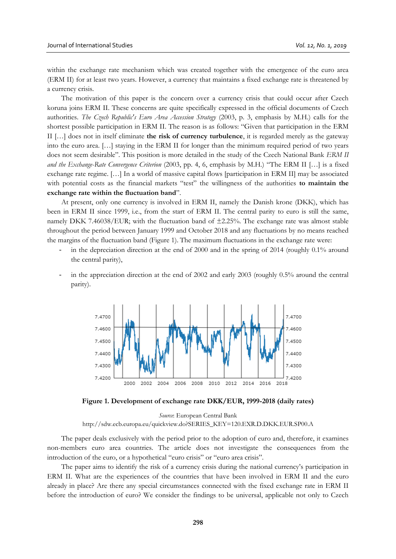within the exchange rate mechanism which was created together with the emergence of the euro area (ERM II) for at least two years. However, a currency that maintains a fixed exchange rate is threatened by a currency crisis.

The motivation of this paper is the concern over a currency crisis that could occur after Czech koruna joins ERM II. These concerns are quite specifically expressed in the official documents of Czech authorities. *The Czech Republic's Euro Area Accession Strategy* (2003, p. 3, emphasis by M.H.) calls for the shortest possible participation in ERM II. The reason is as follows: "Given that participation in the ERM II […] does not in itself eliminate **the risk of currency turbulence**, it is regarded merely as the gateway into the euro area. […] staying in the ERM II for longer than the minimum required period of two years does not seem desirable". This position is more detailed in the study of the Czech National Bank *ERM II and the Exchange-Rate Convergence Criterion* (2003, pp. 4, 6, emphasis by M.H.) "The ERM II […] is a fixed exchange rate regime. […] In a world of massive capital flows [participation in ERM II] may be associated with potential costs as the financial markets "test" the willingness of the authorities **to maintain the exchange rate within the fluctuation band**".

At present, only one currency is involved in ERM II, namely the Danish krone (DKK), which has been in ERM II since 1999, i.e., from the start of ERM II. The central parity to euro is still the same, namely DKK 7.46038/EUR; with the fluctuation band of ±2.25%. The exchange rate was almost stable throughout the period between January 1999 and October 2018 and any fluctuations by no means reached the margins of the fluctuation band (Figure 1). The maximum fluctuations in the exchange rate were:

- in the depreciation direction at the end of 2000 and in the spring of 2014 (roughly 0.1% around the central parity),
- in the appreciation direction at the end of 2002 and early 2003 (roughly 0.5% around the central parity).



**Figure 1. Development of exchange rate DKK/EUR, 1999-2018 (daily rates)**

*Source*: European Central Bank [http://sdw.ecb.europa.eu/quickview.do?SERIES\\_KEY=120.EXR.D.DKK.EUR.SP00.A](http://sdw.ecb.europa.eu/quickview.do?SERIES_KEY=120.EXR.D.DKK.EUR.SP00.A)

The paper deals exclusively with the period prior to the adoption of euro and, therefore, it examines non-members euro area countries. The article does not investigate the consequences from the introduction of the euro, or a hypothetical "euro crisis" or "euro area crisis".

The paper aims to identify the risk of a currency crisis during the national currency's participation in ERM II. What are the experiences of the countries that have been involved in ERM II and the euro already in place? Are there any special circumstances connected with the fixed exchange rate in ERM II before the introduction of euro? We consider the findings to be universal, applicable not only to Czech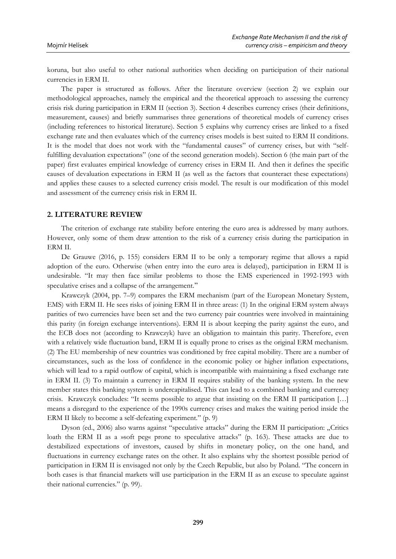koruna, but also useful to other national authorities when deciding on participation of their national currencies in ERM II.

The paper is structured as follows. After the literature overview (section 2) we explain our methodological approaches, namely the empirical and the theoretical approach to assessing the currency crisis risk during participation in ERM II (section 3). Section 4 describes currency crises (their definitions, measurement, causes) and briefly summarises three generations of theoretical models of currency crises (including references to historical literature). Section 5 explains why currency crises are linked to a fixed exchange rate and then evaluates which of the currency crises models is best suited to ERM II conditions. It is the model that does not work with the "fundamental causes" of currency crises, but with "selffulfilling devaluation expectations" (one of the second generation models). Section 6 (the main part of the paper) first evaluates empirical knowledge of currency crises in ERM II. And then it defines the specific causes of devaluation expectations in ERM II (as well as the factors that counteract these expectations) and applies these causes to a selected currency crisis model. The result is our modification of this model and assessment of the currency crisis risk in ERM II.

#### **2. LITERATURE REVIEW**

The criterion of exchange rate stability before entering the euro area is addressed by many authors. However, only some of them draw attention to the risk of a currency crisis during the participation in ERM II.

De Grauwe (2016, p. 155) considers ERM II to be only a temporary regime that allows a rapid adoption of the euro. Otherwise (when entry into the euro area is delayed), participation in ERM II is undesirable. "It may then face similar problems to those the EMS experienced in 1992-1993 with speculative crises and a collapse of the arrangement."

Krawczyk (2004, pp. 7–9) compares the ERM mechanism (part of the European Monetary System, EMS) with ERM II. He sees risks of joining ERM II in three areas: (1) In the original ERM system always parities of two currencies have been set and the two currency pair countries were involved in maintaining this parity (in foreign exchange interventions). ERM II is about keeping the parity against the euro, and the ECB does not (according to Krawczyk) have an obligation to maintain this parity. Therefore, even with a relatively wide fluctuation band, ERM II is equally prone to crises as the original ERM mechanism. (2) The EU membership of new countries was conditioned by free capital mobility. There are a number of circumstances, such as the loss of confidence in the economic policy or higher inflation expectations, which will lead to a rapid outflow of capital, which is incompatible with maintaining a fixed exchange rate in ERM II. (3) To maintain a currency in ERM II requires stability of the banking system. In the new member states this banking system is undercapitalised. This can lead to a combined banking and currency crisis. Krawczyk concludes: "It seems possible to argue that insisting on the ERM II participation […] means a disregard to the experience of the 1990s currency crises and makes the waiting period inside the ERM II likely to become a self-defeating experiment." (p. 9)

Dyson (ed., 2006) also warns against "speculative attacks" during the ERM II participation: "Critics loath the ERM II as a »soft peg« prone to speculative attacks" (p. 163). These attacks are due to destabilized expectations of investors, caused by shifts in monetary policy, on the one hand, and fluctuations in currency exchange rates on the other. It also explains why the shortest possible period of participation in ERM II is envisaged not only by the Czech Republic, but also by Poland. "The concern in both cases is that financial markets will use participation in the ERM II as an excuse to speculate against their national currencies." (p. 99).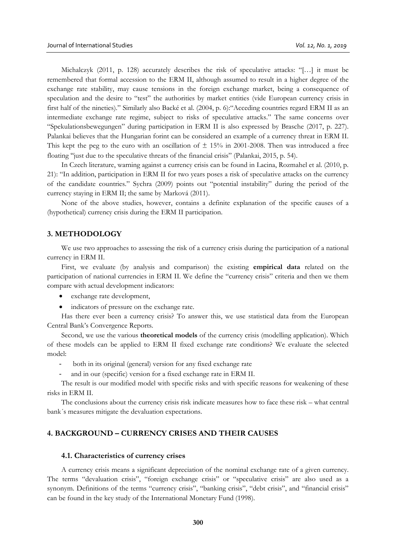Michalczyk (2011, p. 128) accurately describes the risk of speculative attacks: "[…] it must be remembered that formal accession to the ERM II, although assumed to result in a higher degree of the exchange rate stability, may cause tensions in the foreign exchange market, being a consequence of speculation and the desire to "test" the authorities by market entities (vide European currency crisis in first half of the nineties)." Similarly also Backé et al. (2004, p. 6):"Acceding countries regard ERM II as an intermediate exchange rate regime, subject to risks of speculative attacks." The same concerns over "Spekulationsbewegungen" during participation in ERM II is also expressed by Brasche (2017, p. 227). Palankai believes that the Hungarian forint can be considered an example of a currency threat in ERM II. This kept the peg to the euro with an oscillation of  $\pm$  15% in 2001-2008. Then was introduced a free floating "just due to the speculative threats of the financial crisis" (Palankai, 2015, p. 54).

In Czech literature, warning against a currency crisis can be found in Lacina, Rozmahel et al. (2010, p. 21): "In addition, participation in ERM II for two years poses a risk of speculative attacks on the currency of the candidate countries." Sychra (2009) points out "potential instability" during the period of the currency staying in ERM II; the same by Marková (2011).

None of the above studies, however, contains a definite explanation of the specific causes of a (hypothetical) currency crisis during the ERM II participation.

## **3. METHODOLOGY**

We use two approaches to assessing the risk of a currency crisis during the participation of a national currency in ERM II.

First, we evaluate (by analysis and comparison) the existing **empirical data** related on the participation of national currencies in ERM II. We define the "currency crisis" criteria and then we them compare with actual development indicators:

- exchange rate development,
- indicators of pressure on the exchange rate.

Has there ever been a currency crisis? To answer this, we use statistical data from the European Central Bank's Convergence Reports.

Second, we use the various **theoretical models** of the currency crisis (modelling application). Which of these models can be applied to ERM II fixed exchange rate conditions? We evaluate the selected model:

- both in its original (general) version for any fixed exchange rate
- and in our (specific) version for a fixed exchange rate in ERM II.

The result is our modified model with specific risks and with specific reasons for weakening of these risks in ERM II.

The conclusions about the currency crisis risk indicate measures how to face these risk – what central bank´s measures mitigate the devaluation expectations.

# **4. BACKGROUND – CURRENCY CRISES AND THEIR CAUSES**

#### **4.1. Characteristics of currency crises**

A currency crisis means a significant depreciation of the nominal exchange rate of a given currency. The terms "devaluation crisis", "foreign exchange crisis" or "speculative crisis" are also used as a synonym. Definitions of the terms "currency crisis", "banking crisis", "debt crisis", and "financial crisis" can be found in the key study of the International Monetary Fund (1998).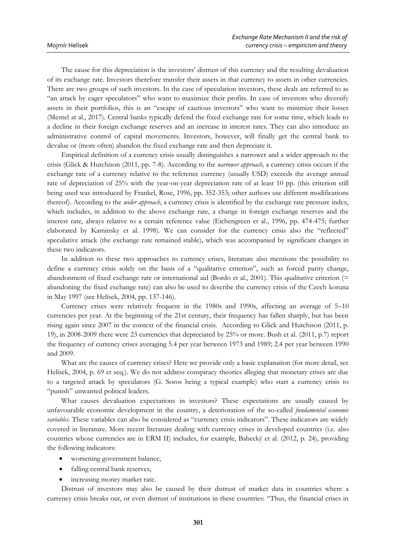The cause for this depreciation is the investors' distrust of this currency and the resulting devaluation of its exchange rate. Investors therefore transfer their assets in that currency to assets in other currencies. There are two groups of such investors. In the case of speculation investors, these deals are referred to as "an attack by eager speculators" who want to maximize their profits. In case of investors who diversify assets in their portfolios, this is an "escape of cautious investors" who want to minimize their losses (Mentel at al., 2017). Central banks typically defend the fixed exchange rate for some time, which leads to a decline in their foreign exchange reserves and an increase in interest rates. They can also introduce an administrative control of capital movements. Investors, however, will finally get the central bank to devalue or (more often) abandon the fixed exchange rate and then depreciate it.

Empirical definition of a currency crisis usually distinguishes a narrower and a wider approach to the crisis (Glick & Hutchison (2011, pp. 7-8). According to the *narrower approach,* a currency crisis occurs if the exchange rate of a currency relative to the reference currency (usually USD) exceeds the average annual rate of depreciation of 25% with the year-on-year depreciation rate of at least 10 pp. (this criterion still being used was introduced by Frankel, Rose, 1996, pp. 352-353; other authors use different modifications thereof). According to the *wider approach*, a currency crisis is identified by the exchange rate pressure index, which includes, in addition to the above exchange rate, a change in foreign exchange reserves and the interest rate, always relative to a certain reference value (Eichengreen et al., 1996, pp. 474-475; further elaborated by Kaminsky et al. 1998). We can consider for the currency crisis also the "reflected" speculative attack (the exchange rate remained stable), which was accompanied by significant changes in these two indicators.

In addition to these two approaches to currency crises, literature also mentions the possibility to define a currency crisis solely on the basis of a "qualitative criterion", such as forced parity change, abandonment of fixed exchange rate or international aid (Bordo et al., 2001). This qualitative criterion (= abandoning the fixed exchange rate) can also be used to describe the currency crisis of the Czech koruna in May 1997 (see Helísek, 2004, pp. 137-146).

Currency crises were relatively frequent in the 1980s and 1990s, affecting an average of 5–10 currencies per year. At the beginning of the 21st century, their frequency has fallen sharply, but has been rising again since 2007 in the context of the financial crisis. According to Glick and Hutchison (2011, p. 19), in 2008-2009 there were 23 currencies that depreciated by 25% or more. Bush et al. (2011, p.7) report the frequency of currency crises averaging 5.4 per year between 1973 and 1989; 2.4 per year between 1990 and 2009.

What are the causes of currency crises? Here we provide only a basic explanation (for more detail, see Helísek, 2004, p. 69 et seq.). We do not address conspiracy theories alleging that monetary crises are due to a targeted attack by speculators (G. Soros being a typical example) who start a currency crisis to "punish" unwanted political leaders.

What causes devaluation expectations in investors? These expectations are usually caused by unfavourable economic development in the country, a deterioration of the so-called *fundamental economic variables*. These variables can also be considered as "currency crisis indicators". These indicators are widely covered in literature. More recent literature dealing with currency crises in developed countries (i.e. also countries whose currencies are in ERM II) includes, for example, Babecký et al. (2012, p. 24), providing the following indicators:

- worsening government balance,
- falling central bank reserves,
- increasing money market rate.

Distrust of investors may also be caused by their distrust of market data in countries where a currency crisis breaks out, or even distrust of institutions in these countries: "Thus, the financial crises in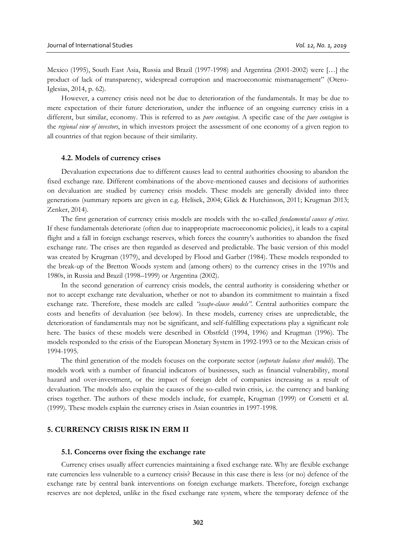Mexico (1995), South East Asia, Russia and Brazil (1997-1998) and Argentina (2001-2002) were […] the product of lack of transparency, widespread corruption and macroeconomic mismanagement" (Otero-Iglesias, 2014, p. 62).

However, a currency crisis need not be due to deterioration of the fundamentals. It may be due to mere expectation of their future deterioration, under the influence of an ongoing currency crisis in a different, but similar, economy. This is referred to as *pure contagion*. A specific case of the *pure contagion* is the *regional view of investors*, in which investors project the assessment of one economy of a given region to all countries of that region because of their similarity.

#### **4.2. Models of currency crises**

Devaluation expectations due to different causes lead to central authorities choosing to abandon the fixed exchange rate. Different combinations of the above-mentioned causes and decisions of authorities on devaluation are studied by currency crisis models. These models are generally divided into three generations (summary reports are given in e.g. Helísek, 2004; Glick & Hutchinson, 2011; Krugman 2013; Zenker, 2014).

The first generation of currency crisis models are models with the so-called *fundamental causes of crises*. If these fundamentals deteriorate (often due to inappropriate macroeconomic policies), it leads to a capital flight and a fall in foreign exchange reserves, which forces the country's authorities to abandon the fixed exchange rate. The crises are then regarded as deserved and predictable. The basic version of this model was created by Krugman (1979), and developed by Flood and Garber (1984). These models responded to the break-up of the Bretton Woods system and (among others) to the currency crises in the 1970s and 1980s, in Russia and Brazil (1998–1999) or Argentina (2002).

In the second generation of currency crisis models, the central authority is considering whether or not to accept exchange rate devaluation, whether or not to abandon its commitment to maintain a fixed exchange rate. Therefore, these models are called *"escape-clause models".* Central authorities compare the costs and benefits of devaluation (see below). In these models, currency crises are unpredictable, the deterioration of fundamentals may not be significant, and self-fulfilling expectations play a significant role here. The basics of these models were described in Obstfeld (1994, 1996) and Krugman (1996). The models responded to the crisis of the European Monetary System in 1992-1993 or to the Mexican crisis of 1994-1995.

The third generation of the models focuses on the corporate sector (*corporate balance sheet models*). The models work with a number of financial indicators of businesses, such as financial vulnerability, moral hazard and over-investment, or the impact of foreign debt of companies increasing as a result of devaluation. The models also explain the causes of the so-called twin crisis, i.e. the currency and banking crises together. The authors of these models include, for example, Krugman (1999) or Corsetti et al. (1999). These models explain the currency crises in Asian countries in 1997-1998.

# **5. CURRENCY CRISIS RISK IN ERM II**

#### **5.1. Concerns over fixing the exchange rate**

Currency crises usually affect currencies maintaining a fixed exchange rate. Why are flexible exchange rate currencies less vulnerable to a currency crisis? Because in this case there is less (or no) defence of the exchange rate by central bank interventions on foreign exchange markets. Therefore, foreign exchange reserves are not depleted, unlike in the fixed exchange rate system, where the temporary defence of the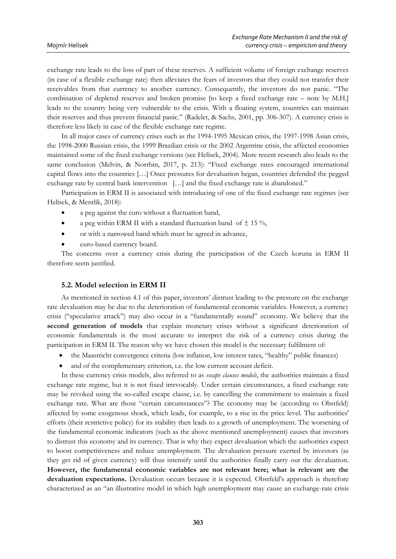exchange rate leads to the loss of part of these reserves. A sufficient volume of foreign exchange reserves (in case of a flexible exchange rate) then alleviates the fears of investors that they could not transfer their receivables from that currency to another currency. Consequently, the investors do not panic. "The combination of depleted reserves and broken promise [to keep a fixed exchange rate – note by M.H.] leads to the country being very vulnerable to the crisis. With a floating system, countries can maintain their reserves and thus prevent financial panic." (Radelet, & Sachs, 2001, pp. 306-307). A currency crisis is therefore less likely in case of the flexible exchange rate regime.

In all major cases of currency crises such as the 1994-1995 Mexican crisis, the 1997-1998 Asian crisis, the 1998-2000 Russian crisis, the 1999 Brazilian crisis or the 2002 Argentine crisis, the affected economies maintained some of the fixed exchange versions (see Helísek, 2004). More recent research also leads to the same conclusion (Melvin, & Norrbin, 2017, p. 213): "Fixed exchange rates encouraged international capital flows into the countries […] Once pressures for devaluation began, countries defended the pegged exchange rate by central bank intervention […] and the fixed exchange rate is abandoned."

Participation in ERM II is associated with introducing of one of the fixed exchange rate regimes (see Helísek, & Mentlík, 2018):

- a peg against the euro without a fluctuation band,
- a peg within ERM II with a standard fluctuation band of  $\pm$  15 %,
- or with a narrowed band which must be agreed in advance,
- euro-based currency board.

The concerns over a currency crisis during the participation of the Czech koruna in ERM II therefore seem justified.

## **5.2. Model selection in ERM II**

As mentioned in section 4.1 of this paper, investors' distrust leading to the pressure on the exchange rate devaluation may be due to the deterioration of fundamental economic variables. However, a currency crisis ("speculative attack") may also occur in a "fundamentally sound" economy. We believe that the **second generation of models** that explain monetary crises without a significant deterioration of economic fundamentals is the most accurate to interpret the risk of a currency crisis during the participation in ERM II. The reason why we have chosen this model is the necessary fulfilment of:

- the Maastricht convergence criteria (low inflation, low interest rates, "healthy" public finances)
- and of the complementary criterion, i.e. the low current account deficit.

In these currency crisis models, also referred to as *escape clauses models*, the authorities maintain a fixed exchange rate regime, but it is not fixed irrevocably. Under certain circumstances, a fixed exchange rate may be revoked using the so-called escape clause, i.e. by cancelling the commitment to maintain a fixed exchange rate. What are those "certain circumstances"? The economy may be (according to Obstfeld) affected by some exogenous shock, which leads, for example, to a rise in the price level. The authorities' efforts (their restrictive policy) for its stability then leads to a growth of unemployment. The worsening of the fundamental economic indicators (such as the above mentioned unemployment) causes that investors to distrust this economy and its currency. That is why they expect devaluation which the authorities expect to boost competitiveness and reduce unemployment. The devaluation pressure exerted by investors (as they get rid of given currency) will thus intensify until the authorities finally carry out the devaluation. **However, the fundamental economic variables are not relevant here; what is relevant are the devaluation expectations.** Devaluation occurs because it is expected. Obstfeld's approach is therefore characterized as an "an illustrative model in which high unemployment may cause an exchange-rate crisis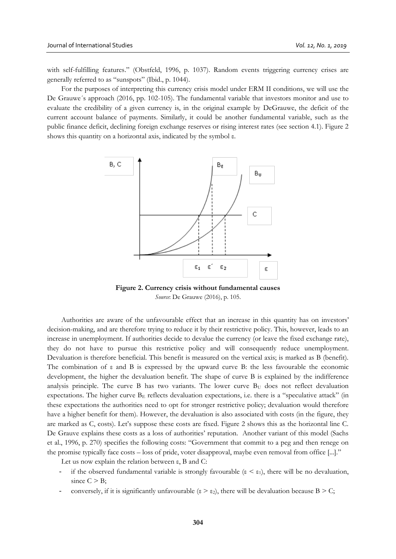with self-fulfilling features." (Obstfeld, 1996, p. 1037). Random events triggering currency crises are generally referred to as "sunspots" (Ibid., p. 1044).

For the purposes of interpreting this currency crisis model under ERM II conditions, we will use the De Grauwe´s approach (2016, pp. 102-105). The fundamental variable that investors monitor and use to evaluate the credibility of a given currency is, in the original example by DeGrauwe, the deficit of the current account balance of payments. Similarly, it could be another fundamental variable, such as the public finance deficit, declining foreign exchange reserves or rising interest rates (see section 4.1). Figure 2 shows this quantity on a horizontal axis, indicated by the symbol ε.



**Figure 2. Currency crisis without fundamental causes** *Source*: De Grauwe (2016), p. 105.

Authorities are aware of the unfavourable effect that an increase in this quantity has on investors' decision-making, and are therefore trying to reduce it by their restrictive policy. This, however, leads to an increase in unemployment. If authorities decide to devalue the currency (or leave the fixed exchange rate), they do not have to pursue this restrictive policy and will consequently reduce unemployment. Devaluation is therefore beneficial. This benefit is measured on the vertical axis; is marked as B (benefit). The combination of ε and B is expressed by the upward curve B: the less favourable the economic development, the higher the devaluation benefit. The shape of curve B is explained by the indifference analysis principle. The curve B has two variants. The lower curve  $B<sub>U</sub>$  does not reflect devaluation expectations. The higher curve B<sup>E</sup> reflects devaluation expectations, i.e. there is a "speculative attack" (in these expectations the authorities need to opt for stronger restrictive policy; devaluation would therefore have a higher benefit for them). However, the devaluation is also associated with costs (in the figure, they are marked as C, costs). Let's suppose these costs are fixed. Figure 2 shows this as the horizontal line C. De Grauve explains these costs as a loss of authorities' reputation. Another variant of this model (Sachs et al., 1996, p. 270) specifies the following costs: "Government that commit to a peg and then renege on the promise typically face costs – loss of pride, voter disapproval, maybe even removal from office [...]."

Let us now explain the relation between ε, B and C:

- if the observed fundamental variable is strongly favourable ( $\varepsilon < \varepsilon_1$ ), there will be no devaluation, since  $C > B$ ;
- conversely, if it is significantly unfavourable ( $\varepsilon > \varepsilon_2$ ), there will be devaluation because B  $> C$ ;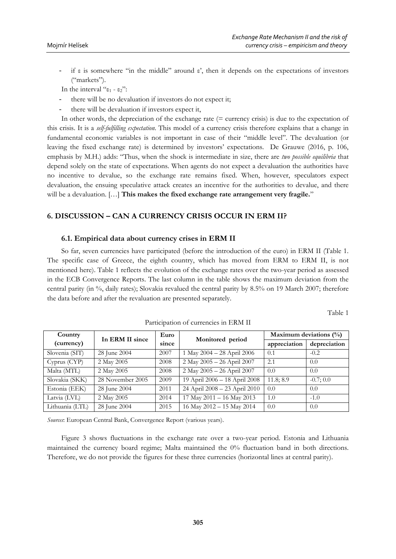if  $\varepsilon$  is somewhere "in the middle" around  $\varepsilon$ ", then it depends on the expectations of investors ("markets").

In the interval " $ε_1$  -  $ε_2$ ":

- there will be no devaluation if investors do not expect it;
- there will be devaluation if investors expect it,

In other words, the depreciation of the exchange rate (= currency crisis) is due to the expectation of this crisis. It is a *self-fulfilling expectation*. This model of a currency crisis therefore explains that a change in fundamental economic variables is not important in case of their "middle level". The devaluation (or leaving the fixed exchange rate) is determined by investors' expectations. De Grauwe (2016, p. 106, emphasis by M.H.) adds: "Thus, when the shock is intermediate in size, there are *two possible equilibria* that depend solely on the state of expectations. When agents do not expect a devaluation the authorities have no incentive to devalue, so the exchange rate remains fixed. When, however, speculators expect devaluation, the ensuing speculative attack creates an incentive for the authorities to devalue, and there will be a devaluation. […] **This makes the fixed exchange rate arrangement very fragile.**"

# **6. DISCUSSION – CAN A CURRENCY CRISIS OCCUR IN ERM II?**

#### **6.1. Empirical data about currency crises in ERM II**

So far, seven currencies have participated (before the introduction of the euro) in ERM II (Table 1. The specific case of Greece, the eighth country, which has moved from ERM to ERM II, is not mentioned here). Table 1 reflects the evolution of the exchange rates over the two-year period as assessed in the ECB Convergence Reports. The last column in the table shows the maximum deviation from the central parity (in %, daily rates); Slovakia revalued the central parity by 8.5% on 19 March 2007; therefore the data before and after the revaluation are presented separately.

Table 1

| Country         | In ERM II since  | Euro  | Monitored period                | Maximum deviations $(\%)$ |              |
|-----------------|------------------|-------|---------------------------------|---------------------------|--------------|
| (currency)      |                  | since |                                 | appreciation              | depreciation |
| Slovenia (SIT)  | 28 June 2004     | 2007  | 1 May 2004 - 28 April 2006      | 0.1                       | $-0.2$       |
| Cyprus (CYP)    | 2 May 2005       | 2008  | 2 May 2005 - 26 April 2007      | 2.1                       | 0.0          |
| Malta (MTL)     | 2 May 2005       | 2008  | 2 May 2005 - 26 April 2007      | 0.0                       | 0.0          |
| Slovakia (SKK)  | 28 November 2005 | 2009  | 19 April 2006 - 18 April 2008   | 11.8:8.9                  | $-0.7:0.0$   |
| Estonia (EEK)   | 28 June 2004     | 2011  | 24 April 2008 - 23 April 2010   | 0.0                       | 0.0          |
| Latvia (LVL)    | 2 May 2005       | 2014  | $17$ May $2011 - 16$ May $2013$ | 1.0                       | $-1.0$       |
| Lithuania (LTL) | 28 June 2004     | 2015  | 16 May 2012 - 15 May 2014       | 0.0                       | 0.0          |

Participation of currencies in ERM II

*Sources*: European Central Bank, Convergence Report (various years).

Figure 3 shows fluctuations in the exchange rate over a two-year period. Estonia and Lithuania maintained the currency board regime; Malta maintained the 0% fluctuation band in both directions. Therefore, we do not provide the figures for these three currencies (horizontal lines at central parity).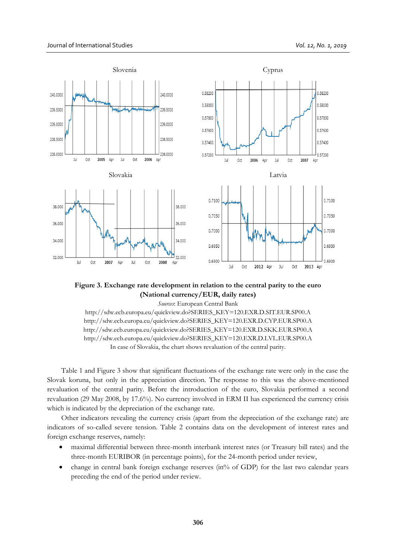

**Figure 3. Exchange rate development in relation to the central parity to the euro (National currency/EUR, daily rates)**

*Sources*: European Central Bank

[http://sdw.ecb.europa.eu/quickview.do?SERIES\\_KEY=120.EXR.D.SIT.EUR.SP00.A](http://sdw.ecb.europa.eu/quickview.do?SERIES_KEY=120.EXR.D.SIT.EUR.SP00.A) [http://sdw.ecb.europa.eu/quickview.do?SERIES\\_KEY=120.EXR.D.CYP.EUR.SP00.A](http://sdw.ecb.europa.eu/quickview.do?SERIES_KEY=120.EXR.D.CYP.EUR.SP00.A) [http://sdw.ecb.europa.eu/quickview.do?SERIES\\_KEY=120.EXR.D.SKK.EUR.SP00.A](http://sdw.ecb.europa.eu/quickview.do?SERIES_KEY=120.EXR.D.SKK.EUR.SP00.A) [http://sdw.ecb.europa.eu/quickview.do?SERIES\\_KEY=120.EXR.D.LVL.EUR.SP00.A](http://sdw.ecb.europa.eu/quickview.do?SERIES_KEY=120.EXR.D.LVL.EUR.SP00.A) In case of Slovakia, the chart shows revaluation of the central parity.

Table 1 and Figure 3 show that significant fluctuations of the exchange rate were only in the case the Slovak koruna, but only in the appreciation direction. The response to this was the above-mentioned revaluation of the central parity. Before the introduction of the euro, Slovakia performed a second revaluation (29 May 2008, by 17.6%). No currency involved in ERM II has experienced the currency crisis which is indicated by the depreciation of the exchange rate.

Other indicators revealing the currency crisis (apart from the depreciation of the exchange rate) are indicators of so-called severe tension. Table 2 contains data on the development of interest rates and foreign exchange reserves, namely:

- maximal differential between three-month interbank interest rates (or Treasury bill rates) and the three-month EURIBOR (in percentage points), for the 24-month period under review,
- change in central bank foreign exchange reserves (in% of GDP) for the last two calendar years preceding the end of the period under review.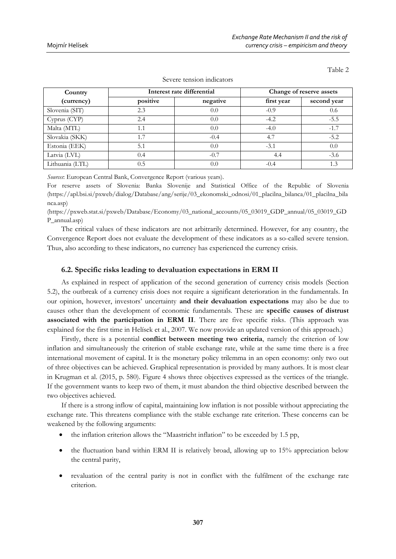| Country         | Interest rate differential |          | Change of reserve assets |             |  |
|-----------------|----------------------------|----------|--------------------------|-------------|--|
| (currency)      | positive                   | negative | first year               | second year |  |
| Slovenia (SIT)  | 2.3                        | 0.0      | $-0.9$                   | 0.6         |  |
| Cyprus (CYP)    | 2.4                        | 0.0      | $-4.2$                   | $-5.5$      |  |
| Malta (MTL)     | 1.1                        | 0.0      | $-4.0$                   | $-1.7$      |  |
| Slovakia (SKK)  | 1.7                        | $-0.4$   | 4.7                      | $-5.2$      |  |
| Estonia (EEK)   | 5.1                        | 0.0      | $-3.1$                   | 0.0         |  |
| Latvia (LVL)    | 0.4                        | $-0.7$   | 4.4                      | $-3.6$      |  |
| Lithuania (LTL) | 0.5                        | 0.0      | $-0.4$                   | 1.3         |  |

Severe tension indicators

*Sources*: European Central Bank, Convergence Report (various years).

For reserve assets of Slovenia: Banka Slovenije and Statistical Office of the Republic of Slovenia [\(https://apl.bsi.si/pxweb/dialog/Database/ang/serije/03\\_ekonomski\\_odnosi/01\\_placilna\\_bilanca/01\\_placilna\\_bila](https://apl.bsi.si/pxweb/dialog/Database/ang/serije/03_ekonomski_odnosi/01_placilna_bilanca/01_placilna_bilanca.asp) [nca.asp\)](https://apl.bsi.si/pxweb/dialog/Database/ang/serije/03_ekonomski_odnosi/01_placilna_bilanca/01_placilna_bilanca.asp)

[\(https://pxweb.stat.si/pxweb/Database/Economy/03\\_national\\_accounts/05\\_03019\\_GDP\\_annual/05\\_03019\\_GD](https://pxweb.stat.si/pxweb/Database/Economy/03_national_accounts/05_03019_GDP_annual/05_03019_GDP_annual.asp) [P\\_annual.asp\)](https://pxweb.stat.si/pxweb/Database/Economy/03_national_accounts/05_03019_GDP_annual/05_03019_GDP_annual.asp)

The critical values of these indicators are not arbitrarily determined. However, for any country, the Convergence Report does not evaluate the development of these indicators as a so-called severe tension. Thus, also according to these indicators, no currency has experienced the currency crisis.

#### **6.2. Specific risks leading to devaluation expectations in ERM II**

As explained in respect of application of the second generation of currency crisis models (Section 5.2), the outbreak of a currency crisis does not require a significant deterioration in the fundamentals. In our opinion, however, investors' uncertainty **and their devaluation expectations** may also be due to causes other than the development of economic fundamentals. These are **specific causes of distrust associated with the participation in ERM II**. There are five specific risks. (This approach was explained for the first time in Helísek et al., 2007. We now provide an updated version of this approach.)

Firstly, there is a potential **conflict between meeting two criteria**, namely the criterion of low inflation and simultaneously the criterion of stable exchange rate, while at the same time there is a free international movement of capital. It is the monetary policy trilemma in an open economy: only two out of three objectives can be achieved. Graphical representation is provided by many authors. It is most clear in Krugman et al. (2015, p. 580). Figure 4 shows three objectives expressed as the vertices of the triangle. If the government wants to keep two of them, it must abandon the third objective described between the two objectives achieved.

If there is a strong inflow of capital, maintaining low inflation is not possible without appreciating the exchange rate. This threatens compliance with the stable exchange rate criterion. These concerns can be weakened by the following arguments:

- the inflation criterion allows the "Maastricht inflation" to be exceeded by 1.5 pp,
- the fluctuation band within ERM II is relatively broad, allowing up to 15% appreciation below the central parity,
- revaluation of the central parity is not in conflict with the fulfilment of the exchange rate criterion.

Table 2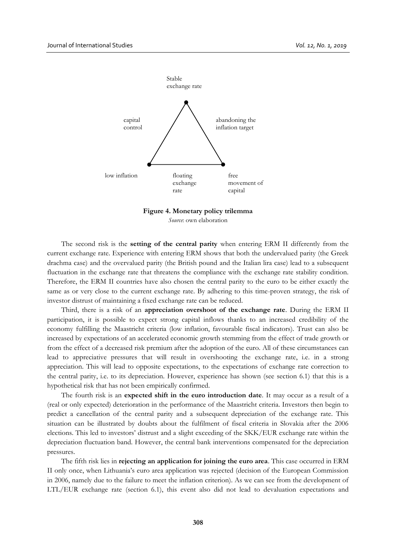

**Figure 4. Monetary policy trilemma** *Source*: own elaboration

The second risk is the **setting of the central parity** when entering ERM II differently from the current exchange rate. Experience with entering ERM shows that both the undervalued parity (the Greek drachma case) and the overvalued parity (the British pound and the Italian lira case) lead to a subsequent fluctuation in the exchange rate that threatens the compliance with the exchange rate stability condition. Therefore, the ERM II countries have also chosen the central parity to the euro to be either exactly the same as or very close to the current exchange rate. By adhering to this time-proven strategy, the risk of investor distrust of maintaining a fixed exchange rate can be reduced.

Third, there is a risk of an **appreciation overshoot of the exchange rate**. During the ERM II participation, it is possible to expect strong capital inflows thanks to an increased credibility of the economy fulfilling the Maastricht criteria (low inflation, favourable fiscal indicators). Trust can also be increased by expectations of an accelerated economic growth stemming from the effect of trade growth or from the effect of a decreased risk premium after the adoption of the euro. All of these circumstances can lead to appreciative pressures that will result in overshooting the exchange rate, i.e. in a strong appreciation. This will lead to opposite expectations, to the expectations of exchange rate correction to the central parity, i.e. to its depreciation. However, experience has shown (see section 6.1) that this is a hypothetical risk that has not been empirically confirmed.

The fourth risk is an **expected shift in the euro introduction date**. It may occur as a result of a (real or only expected) deterioration in the performance of the Maastricht criteria. Investors then begin to predict a cancellation of the central parity and a subsequent depreciation of the exchange rate. This situation can be illustrated by doubts about the fulfilment of fiscal criteria in Slovakia after the 2006 elections. This led to investors' distrust and a slight exceeding of the SKK/EUR exchange rate within the depreciation fluctuation band. However, the central bank interventions compensated for the depreciation pressures.

The fifth risk lies in **rejecting an application for joining the euro area**. This case occurred in ERM II only once, when Lithuania's euro area application was rejected (decision of the European Commission in 2006, namely due to the failure to meet the inflation criterion). As we can see from the development of LTL/EUR exchange rate (section 6.1), this event also did not lead to devaluation expectations and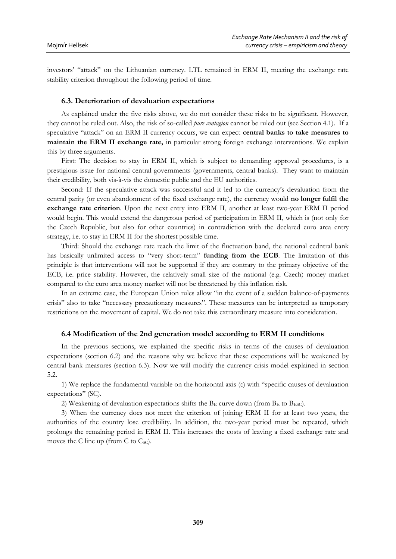investors' "attack" on the Lithuanian currency. LTL remained in ERM II, meeting the exchange rate stability criterion throughout the following period of time.

## **6.3. Deterioration of devaluation expectations**

As explained under the five risks above, we do not consider these risks to be significant. However, they cannot be ruled out. Also, the risk of so-called *pure contagion* cannot be ruled out (see Section 4.1). If a speculative "attack" on an ERM II currency occurs, we can expect **central banks to take measures to maintain the ERM II exchange rate,** in particular strong foreign exchange interventions. We explain this by three arguments.

First: The decision to stay in ERM II, which is subject to demanding approval procedures, is a prestigious issue for national central governments (governments, central banks). They want to maintain their credibility, both vis-à-vis the domestic public and the EU authorities.

Second: If the speculative attack was successful and it led to the currency's devaluation from the central parity (or even abandonment of the fixed exchange rate), the currency would **no longer fulfil the exchange rate criterion**. Upon the next entry into ERM II, another at least two-year ERM II period would begin. This would extend the dangerous period of participation in ERM II, which is (not only for the Czech Republic, but also for other countries) in contradiction with the declared euro area entry strategy, i.e. to stay in ERM II for the shortest possible time.

Third: Should the exchange rate reach the limit of the fluctuation band, the national cedntral bank has basically unlimited access to "very short-term" **funding from the ECB**. The limitation of this principle is that interventions will not be supported if they are contrary to the primary objective of the ECB, i.e. price stability. However, the relatively small size of the national (e.g. Czech) money market compared to the euro area money market will not be threatened by this inflation risk.

In an extreme case, the European Union rules allow "in the event of a sudden balance-of-payments crisis" also to take "necessary precautionary measures". These measures can be interpreted as temporary restrictions on the movement of capital. We do not take this extraordinary measure into consideration.

#### **6.4 Modification of the 2nd generation model according to ERM II conditions**

In the previous sections, we explained the specific risks in terms of the causes of devaluation expectations (section 6.2) and the reasons why we believe that these expectations will be weakened by central bank measures (section 6.3). Now we will modify the currency crisis model explained in section 5.2.

1) We replace the fundamental variable on the horizontal axis (ε) with "specific causes of devaluation expectations" (SC).

2) Weakening of devaluation expectations shifts the  $B_E$  curve down (from  $B_E$  to  $B_{ESC}$ ).

3) When the currency does not meet the criterion of joining ERM II for at least two years, the authorities of the country lose credibility. In addition, the two-year period must be repeated, which prolongs the remaining period in ERM II. This increases the costs of leaving a fixed exchange rate and moves the C line up (from C to  $C_{\text{SC}}$ ).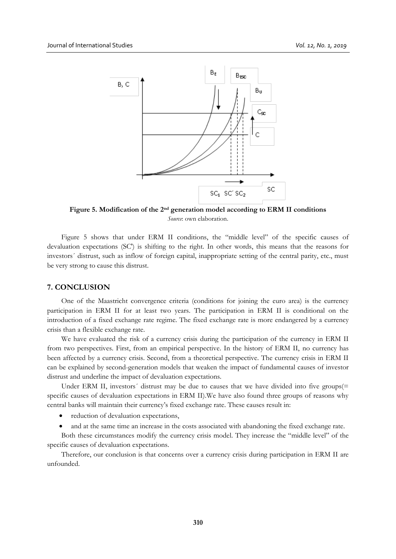

**Figure 5. Modification of the 2nd generation model according to ERM II conditions** *Source*: own elaboration.

Figure 5 shows that under ERM II conditions, the "middle level" of the specific causes of devaluation expectations (SC') is shifting to the right. In other words, this means that the reasons for investors´ distrust, such as inflow of foreign capital, inappropriate setting of the central parity, etc., must be very strong to cause this distrust.

# **7. CONCLUSION**

One of the Maastricht convergence criteria (conditions for joining the euro area) is the currency participation in ERM II for at least two years. The participation in ERM II is conditional on the introduction of a fixed exchange rate regime. The fixed exchange rate is more endangered by a currency crisis than a flexible exchange rate.

We have evaluated the risk of a currency crisis during the participation of the currency in ERM II from two perspectives. First, from an empirical perspective. In the history of ERM II, no currency has been affected by a currency crisis. Second, from a theoretical perspective. The currency crisis in ERM II can be explained by second-generation models that weaken the impact of fundamental causes of investor distrust and underline the impact of devaluation expectations.

Under ERM II, investors' distrust may be due to causes that we have divided into five groups(= specific causes of devaluation expectations in ERM II).We have also found three groups of reasons why central banks will maintain their currency's fixed exchange rate. These causes result in:

- reduction of devaluation expectations,
- and at the same time an increase in the costs associated with abandoning the fixed exchange rate.

Both these circumstances modify the currency crisis model. They increase the "middle level" of the specific causes of devaluation expectations.

Therefore, our conclusion is that concerns over a currency crisis during participation in ERM II are unfounded.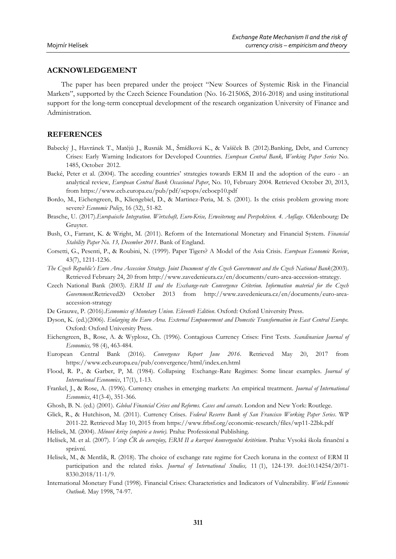# **ACKNOWLEDGEMENT**

The paper has been prepared under the project "New Sources of Systemic Risk in the Financial Markets", supported by the Czech Science Foundation (No. 16-21506S, 2016-2018) and using institutional support for the long-term conceptual development of the research organization University of Finance and Administration.

# **REFERENCES**

- Babecký J., Havránek T., Matějů J., Rusnák M., Šmídková K., & Vašíček B. (2012).Banking, Debt, and Currency Crises: Early Warning Indicators for Developed Countries. *European Central Bank, Working Paper Series* No. 1485, October 2012.
- Backé, Peter et al. (2004). The acceding countries' strategies towards ERM II and the adoption of the euro an analytical review, *European Central Bank Occasional Paper*, No. 10, February 2004. Retrieved October 20, 2013, from https://www.ecb.europa.eu/pub/pdf/scpops/ecbocp10.pdf
- Bordo, M., Eichengreen, B., Kliengebiel, D., & Martinez-Peria, M. S. (2001). Is the crisis problem growing more severe? *Economic Policy*, 16 (32), 51-82.
- Brasche, U. (2017).*Europaische Integration. Wirtschaft, Euro-Krise, Erweiterung und Perspektiven. 4. Auflage*. Oldenbourg: De Gruyter.
- Bush, O., Farrant, K. & Wright, M. (2011). Reform of the International Monetary and Financial System. *Financial Stability Paper No. 13, December 2011*. Bank of England.
- Corsetti, G., Pesenti, P., & Roubini, N. (1999). Paper Tigers? A Model of the Asia Crisis. *European Economic Review*, 43(7), 1211-1236.
- *The Czech Republic's Euro Area Accession Strategy. Joint Document of the Czech Government and the Czech National Bank*(2003). Retrieved February 24, 20 from http://www.zavedenieura.cz/en/documents/euro-area-accession-strategy.
- Czech National Bank (2003). *ERM II and the Exchange-rate Convergence Criterion. Information material for the Czech Government.*Retrieved20 October 2013 from http://www.zavedenieura.cz/en/documents/euro-areaaccession-strategy
- De Grauwe, P. (2016).*Economics of Monetary Union. Eleventh Edition*. Oxford: Oxford University Press.
- Dyson, K. (ed.)(2006). *Enlarging the Euro Area. External Empowerment and Domestic Transformation in East Central Europe.*  Oxford: Oxford University Press.
- Eichengreen, B., Rose, A. & Wyplosz, Ch. (1996). Contagious Currency Crises: First Tests. *Scandinavian Journal of Economics,* 98 (4), 463-484.
- European Central Bank (2016). *Convergence Report June 2016*. Retrieved May 20, 2017 from https://www.ecb.europa.eu/pub/convergence/html/index.en.html
- Flood, R. P., & Garber, P, M. (1984). Collapsing Exchange-Rate Regimes: Some linear examples*. Journal of International Economics*, 17(1), 1-13.
- Frankel, J., & Rose, A. (1996). Currency crashes in emerging markets: An empirical treatment. *Journal of International Economics*, 41(3-4), 351-366.
- Ghosh, B. N. (ed.) (2001). *Global Financial Crises and Reforms. Cases and caveats*. London and New York: Routlege.
- Glick, R., & Hutchison, M. (2011). Currency Crises. *Federal Reserve Bank of San Francisco Working Paper Series*. WP 2011-22. Retrieved May 10, 2015 from https://www.frbsf.org/economic-research/files/wp11-22bk.pdf
- Helísek, M. (2004). *Měnové krize (empirie a teorie).* Praha: Professional Publishing.
- Helísek, M. et al. (2007). *Vstup ČR do eurozóny, ERM II a kurzové konvergenční kritérium*. Praha: Vysoká škola finanční a správní.
- Helisek, M., & Mentlik, R. (2018). The choice of exchange rate regime for Czech koruna in the context of ERM II participation and the related risks. *Journal of International Studies,* 11 (1), 124-139. doi:10.14254/2071- 8330.2018/11-1/9.
- International Monetary Fund (1998). Financial Crises: Characteristics and Indicators of Vulnerability. *World Economic Outlook.* May 1998, 74-97.